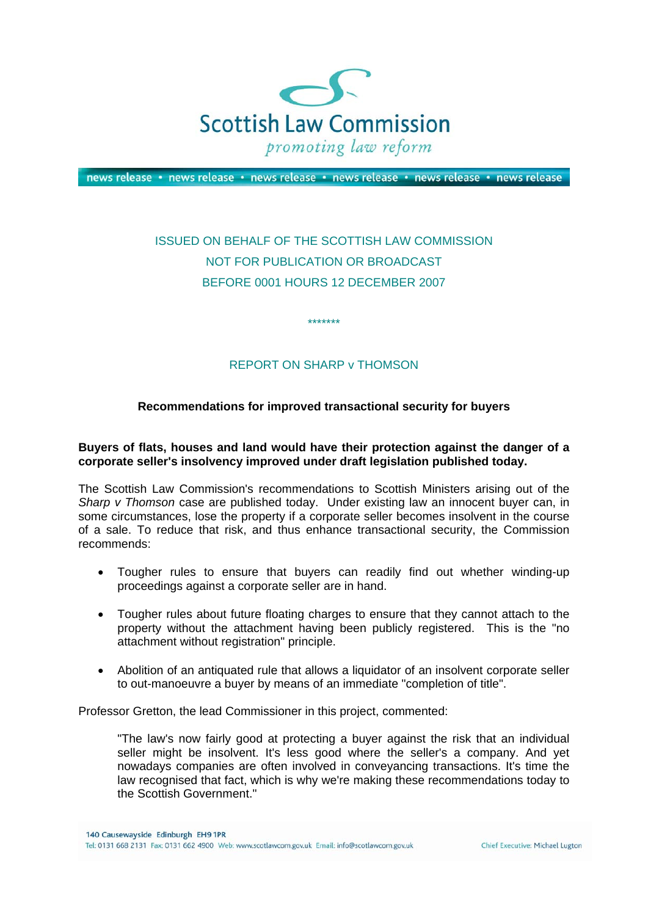

news release · news release · news release · news release · news release · news release

# ISSUED ON BEHALF OF THE SCOTTISH LAW COMMISSION NOT FOR PUBLICATION OR BROADCAST BEFORE 0001 HOURS 12 DECEMBER 2007

## REPORT ON SHARP v THOMSON

\*\*\*\*\*\*\*

#### **Recommendations for improved transactional security for buyers**

#### **Buyers of flats, houses and land would have their protection against the danger of a corporate seller's insolvency improved under draft legislation published today.**

The Scottish Law Commission's recommendations to Scottish Ministers arising out of the *Sharp v Thomson* case are published today. Under existing law an innocent buyer can, in some circumstances, lose the property if a corporate seller becomes insolvent in the course of a sale. To reduce that risk, and thus enhance transactional security, the Commission recommends:

- Tougher rules to ensure that buyers can readily find out whether winding-up proceedings against a corporate seller are in hand.
- Tougher rules about future floating charges to ensure that they cannot attach to the property without the attachment having been publicly registered. This is the "no attachment without registration" principle.
- Abolition of an antiquated rule that allows a liquidator of an insolvent corporate seller to out-manoeuvre a buyer by means of an immediate "completion of title".

Professor Gretton, the lead Commissioner in this project, commented:

"The law's now fairly good at protecting a buyer against the risk that an individual seller might be insolvent. It's less good where the seller's a company. And yet nowadays companies are often involved in conveyancing transactions. It's time the law recognised that fact, which is why we're making these recommendations today to the Scottish Government."